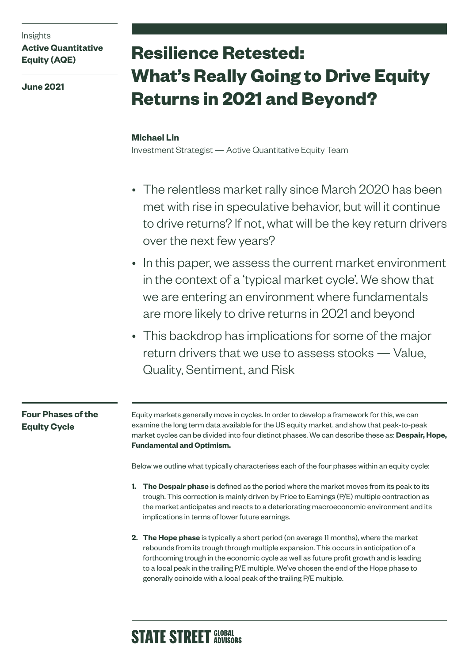Insights

## **Active Quantitative Equity (AQE)**

**June 2021**

# **Resilience Retested: What's Really Going to Drive Equity Returns in 2021 and Beyond?**

### **Michael Lin**

Investment Strategist — Active Quantitative Equity Team

- The relentless market rally since March 2020 has been met with rise in speculative behavior, but will it continue to drive returns? If not, what will be the key return drivers over the next few years?
- In this paper, we assess the current market environment in the context of a 'typical market cycle'. We show that we are entering an environment where fundamentals are more likely to drive returns in 2021 and beyond
- This backdrop has implications for some of the major return drivers that we use to assess stocks — Value, Quality, Sentiment, and Risk

# **Four Phases of the Equity Cycle**

Equity markets generally move in cycles. In order to develop a framework for this, we can examine the long term data available for the US equity market, and show that peak-to-peak market cycles can be divided into four distinct phases. We can describe these as: **Despair, Hope, Fundamental and Optimism.**

Below we outline what typically characterises each of the four phases within an equity cycle:

- **1. The Despair phase** is defined as the period where the market moves from its peak to its trough. This correction is mainly driven by Price to Earnings (P/E) multiple contraction as the market anticipates and reacts to a deteriorating macroeconomic environment and its implications in terms of lower future earnings.
- **2. The Hope phase** is typically a short period (on average 11 months), where the market rebounds from its trough through multiple expansion. This occurs in anticipation of a forthcoming trough in the economic cycle as well as future profit growth and is leading to a local peak in the trailing P/E multiple. We've chosen the end of the Hope phase to generally coincide with a local peak of the trailing P/E multiple.

# **STATE STREET GLOBAL**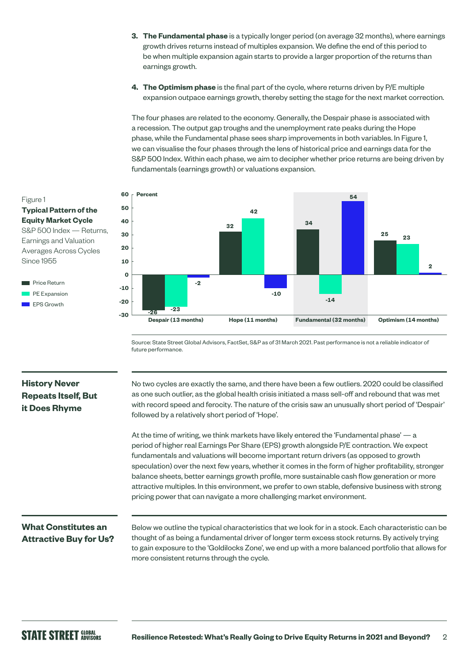- **3. The Fundamental phase** is a typically longer period (on average 32 months), where earnings growth drives returns instead of multiples expansion. We define the end of this period to be when multiple expansion again starts to provide a larger proportion of the returns than earnings growth.
- **4. The Optimism phase** is the final part of the cycle, where returns driven by P/E multiple expansion outpace earnings growth, thereby setting the stage for the next market correction.

The four phases are related to the economy. Generally, the Despair phase is associated with a recession. The output gap troughs and the unemployment rate peaks during the Hope phase, while the Fundamental phase sees sharp improvements in both variables. In Figure 1, we can visualise the four phases through the lens of historical price and earnings data for the S&P 500 Index. Within each phase, we aim to decipher whether price returns are being driven by fundamentals (earnings growth) or valuations expansion.



Source: State Street Global Advisors, FactSet, S&P as of 31 March 2021. Past performance is not a reliable indicator of future performance.

# **History Never Repeats Itself, But it Does Rhyme**

No two cycles are exactly the same, and there have been a few outliers. 2020 could be classified as one such outlier, as the global health crisis initiated a mass sell-off and rebound that was met with record speed and ferocity. The nature of the crisis saw an unusually short period of 'Despair' followed by a relatively short period of 'Hope'.

At the time of writing, we think markets have likely entered the 'Fundamental phase' — a period of higher real Earnings Per Share (EPS) growth alongside P/E contraction. We expect fundamentals and valuations will become important return drivers (as opposed to growth speculation) over the next few years, whether it comes in the form of higher profitability, stronger balance sheets, better earnings growth profile, more sustainable cash flow generation or more attractive multiples. In this environment, we prefer to own stable, defensive business with strong pricing power that can navigate a more challenging market environment.

### **What Constitutes an Attractive Buy for Us?**

Below we outline the typical characteristics that we look for in a stock. Each characteristic can be thought of as being a fundamental driver of longer term excess stock returns. By actively trying to gain exposure to the 'Goldilocks Zone', we end up with a more balanced portfolio that allows for more consistent returns through the cycle.

#### Figure 1 **Typical Pattern of the Equity Market Cycle** S&P 500 Index — Returns,

Earnings and Valuation Averages Across Cycles Since 1955

Price Return PE Expansion EPS Growth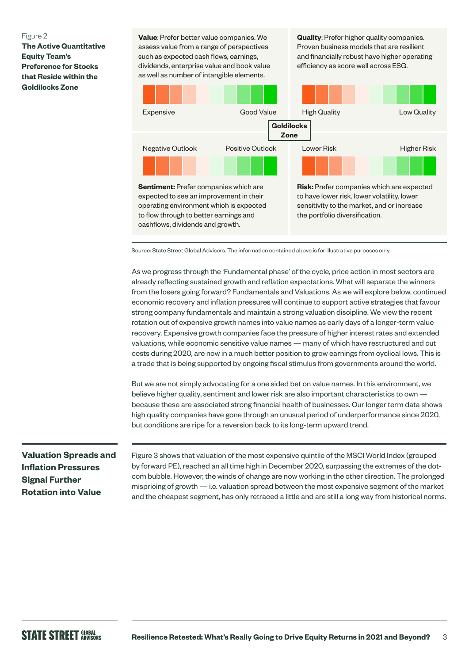#### Figure 2

**The Active Quantitative Equity Team's Preference for Stocks that Reside within the Goldilocks Zone**

**Value**: Prefer better value companies. We assess value from a range of perspectives such as expected cash flows, earnings, dividends, enterprise value and book value as well as number of intangible elements.

**Quality**: Prefer higher quality companies. Proven business models that are resilient and financially robust have higher operating efficiency as score well across ESG.



Source: State Street Global Advisors. The information contained above is for illustrative purposes only.

As we progress through the 'Fundamental phase' of the cycle, price action in most sectors are already reflecting sustained growth and reflation expectations. What will separate the winners from the losers going forward? Fundamentals and Valuations. As we will explore below, continued economic recovery and inflation pressures will continue to support active strategies that favour strong company fundamentals and maintain a strong valuation discipline. We view the recent rotation out of expensive growth names into value names as early days of a longer-term value recovery. Expensive growth companies face the pressure of higher interest rates and extended valuations, while economic sensitive value names — many of which have restructured and cut costs during 2020, are now in a much better position to grow earnings from cyclical lows. This is a trade that is being supported by ongoing fiscal stimulus from governments around the world.

But we are not simply advocating for a one sided bet on value names. In this environment, we believe higher quality, sentiment and lower risk are also important characteristics to own because these are associated strong financial health of businesses. Our longer term data shows high quality companies have gone through an unusual period of underperformance since 2020, but conditions are ripe for a reversion back to its long-term upward trend.

## **Valuation Spreads and Inflation Pressures Signal Further Rotation into Value**

Figure 3 shows that valuation of the most expensive quintile of the MSCI World Index (grouped by forward PE), reached an all time high in December 2020, surpassing the extremes of the dotcom bubble. However, the winds of change are now working in the other direction. The prolonged mispricing of growth — i.e. valuation spread between the most expensive segment of the market and the cheapest segment, has only retraced a little and are still a long way from historical norms.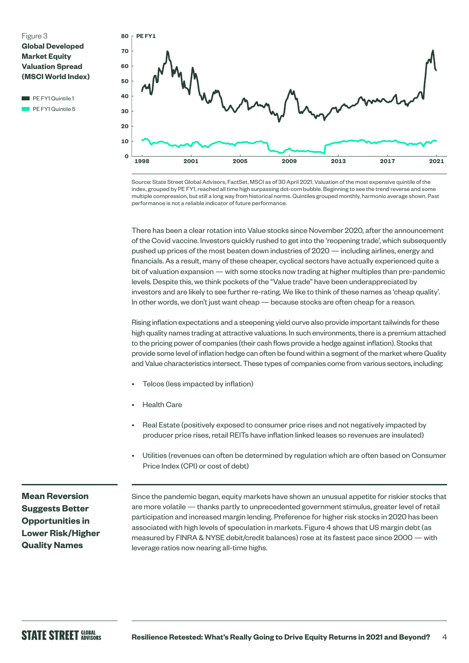#### Figure 3 **Global Developed Market Equity Valuation Spread (MSCI World Index)**

 $\blacksquare$  PE FY1 Quintile 1 PE FY1 Quintile 5



Source: State Street Global Advisors, FactSet, MSCI as of 30 April 2021. Valuation of the most expensive quintile of the index, grouped by PE FY1, reached all time high surpassing dot-com bubble. Beginning to see the trend reverse and some multiple compression, but still a long way from historical norms. Quintiles grouped monthly, harmonic average shown. Past performance is not a reliable indicator of future performance.

There has been a clear rotation into Value stocks since November 2020, after the announcement of the Covid vaccine. Investors quickly rushed to get into the 'reopening trade', which subsequently pushed up prices of the most beaten down industries of 2020 — including airlines, energy and financials. As a result, many of these cheaper, cyclical sectors have actually experienced quite a bit of valuation expansion — with some stocks now trading at higher multiples than pre-pandemic levels. Despite this, we think pockets of the "Value trade" have been underappreciated by investors and are likely to see further re-rating. We like to think of these names as 'cheap quality'. In other words, we don't just want cheap — because stocks are often cheap for a reason.

Rising inflation expectations and a steepening yield curve also provide important tailwinds for these high quality names trading at attractive valuations. In such environments, there is a premium attached to the pricing power of companies (their cash flows provide a hedge against inflation). Stocks that provide some level of inflation hedge can often be found within a segment of the market where Quality and Value characteristics intersect. These types of companies come from various sectors, including:

- Telcos (less impacted by inflation)
- **Health Care**
- Real Estate (positively exposed to consumer price rises and not negatively impacted by producer price rises, retail REITs have inflation linked leases so revenues are insulated)
- Utilities (revenues can often be determined by regulation which are often based on Consumer Price Index (CPI) or cost of debt)

**Mean Reversion Suggests Better Opportunities in Lower Risk/Higher Quality Names**

Since the pandemic began, equity markets have shown an unusual appetite for riskier stocks that are more volatile — thanks partly to unprecedented government stimulus, greater level of retail participation and increased margin lending. Preference for higher risk stocks in 2020 has been associated with high levels of speculation in markets. Figure 4 shows that US margin debt (as measured by FINRA & NYSE debit/credit balances) rose at its fastest pace since 2000 — with leverage ratios now nearing all-time highs.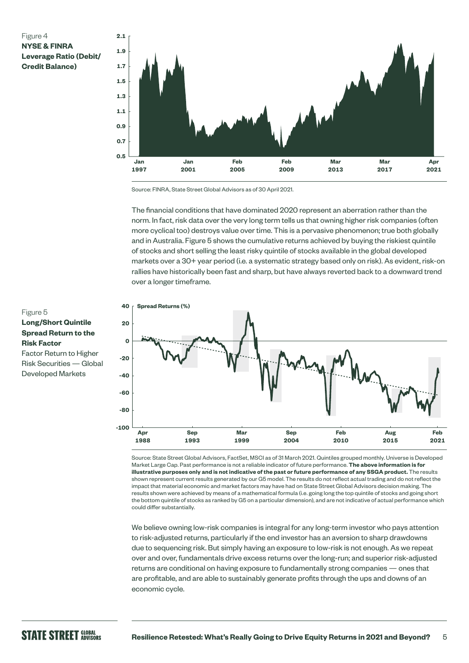#### Figure 4 **NYSE & FINRA Leverage Ratio (Debit/ Credit Balance)**



Source: FINRA, State Street Global Advisors as of 30 April 2021.

The financial conditions that have dominated 2020 represent an aberration rather than the norm. In fact, risk data over the very long term tells us that owning higher risk companies (often more cyclical too) destroys value over time. This is a pervasive phenomenon; true both globally and in Australia. Figure 5 shows the cumulative returns achieved by buying the riskiest quintile of stocks and short selling the least risky quintile of stocks available in the global developed markets over a 30+ year period (i.e. a systematic strategy based only on risk). As evident, risk-on rallies have historically been fast and sharp, but have always reverted back to a downward trend over a longer timeframe.



Source: State Street Global Advisors, FactSet, MSCI as of 31 March 2021. Quintiles grouped monthly. Universe is Developed Market Large Cap. Past performance is not a reliable indicator of future performance. **The above information is for illustrative purposes only and is not indicative of the past or future performance of any SSGA product.** The results shown represent current results generated by our G5 model. The results do not reflect actual trading and do not reflect the impact that material economic and market factors may have had on State Street Global Advisors decision making. The results shown were achieved by means of a mathematical formula (i.e. going long the top quintile of stocks and going short the bottom quintile of stocks as ranked by G5 on a particular dimension), and are not indicative of actual performance which could differ substantially.

We believe owning low-risk companies is integral for any long-term investor who pays attention to risk-adjusted returns, particularly if the end investor has an aversion to sharp drawdowns due to sequencing risk. But simply having an exposure to low-risk is not enough. As we repeat over and over, fundamentals drive excess returns over the long-run; and superior risk-adjusted returns are conditional on having exposure to fundamentally strong companies — ones that are profitable, and are able to sustainably generate profits through the ups and downs of an economic cycle.

#### Figure 5 **Long/Short Quintile Spread Return to the Risk Factor** Factor Return to Higher

Risk Securities — Global Developed Markets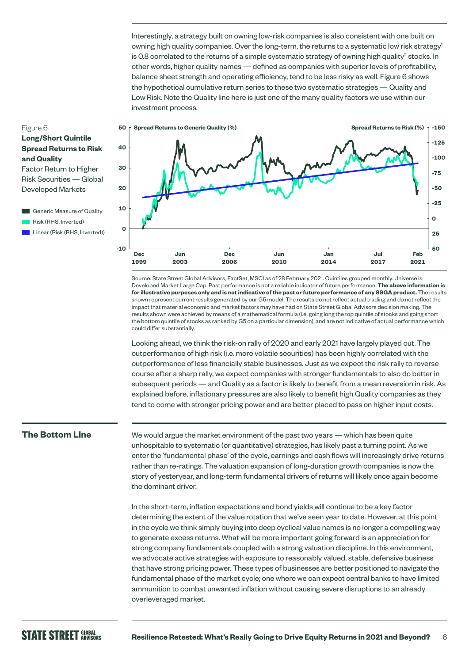Interestingly, a strategy built on owning low-risk companies is also consistent with one built on owning high quality companies. Over the long-term, the returns to a systematic low risk strategy<sup>1</sup> is 0.8 correlated to the returns of a simple systematic strategy of owning high quality $^2$  stocks. In other words, higher quality names — defined as companies with superior levels of profitability, balance sheet strength and operating efficiency, tend to be less risky as well. Figure 6 shows the hypothetical cumulative return series to these two systematic strategies — Quality and Low Risk. Note the Quality line here is just one of the many quality factors we use within our investment process.



Factor Return to Higher Risk Securities — Global Developed Markets

- Generic Measure of Quality Risk (RHS, Inverted)
- **Linear (Risk (RHS, Inverted))**



Source: State Street Global Advisors, FactSet, MSCI as of 28 February 2021. Quintiles grouped monthly. Universe is Developed Market Large Cap. Past performance is not a reliable indicator of future performance. **The above information is for illustrative purposes only and is not indicative of the past or future performance of any SSGA product.** The results shown represent current results generated by our G5 model. The results do not reflect actual trading and do not reflect the impact that material economic and market factors may have had on State Street Global Advisors decision making. The results shown were achieved by means of a mathematical formula (i.e. going long the top quintile of stocks and going short the bottom quintile of stocks as ranked by G5 on a particular dimension), and are not indicative of actual performance which could differ substantially.

Looking ahead, we think the risk-on rally of 2020 and early 2021 have largely played out. The outperformance of high risk (i.e. more volatile securities) has been highly correlated with the outperformance of less financially stable businesses. Just as we expect the risk rally to reverse course after a sharp rally, we expect companies with stronger fundamentals to also do better in subsequent periods — and Quality as a factor is likely to benefit from a mean reversion in risk. As explained before, inflationary pressures are also likely to benefit high Quality companies as they tend to come with stronger pricing power and are better placed to pass on higher input costs.

#### **The Bottom Line**

We would argue the market environment of the past two years — which has been quite unhospitable to systematic (or quantitative) strategies, has likely past a turning point. As we enter the 'fundamental phase' of the cycle, earnings and cash flows will increasingly drive returns rather than re-ratings. The valuation expansion of long-duration growth companies is now the story of yesteryear, and long-term fundamental drivers of returns will likely once again become the dominant driver.

In the short-term, inflation expectations and bond yields will continue to be a key factor determining the extent of the value rotation that we've seen year to date. However, at this point in the cycle we think simply buying into deep cyclical value names is no longer a compelling way to generate excess returns. What will be more important going forward is an appreciation for strong company fundamentals coupled with a strong valuation discipline. In this environment, we advocate active strategies with exposure to reasonably valued, stable, defensive business that have strong pricing power. These types of businesses are better positioned to navigate the fundamental phase of the market cycle; one where we can expect central banks to have limited ammunition to combat unwanted inflation without causing severe disruptions to an already overleveraged market.